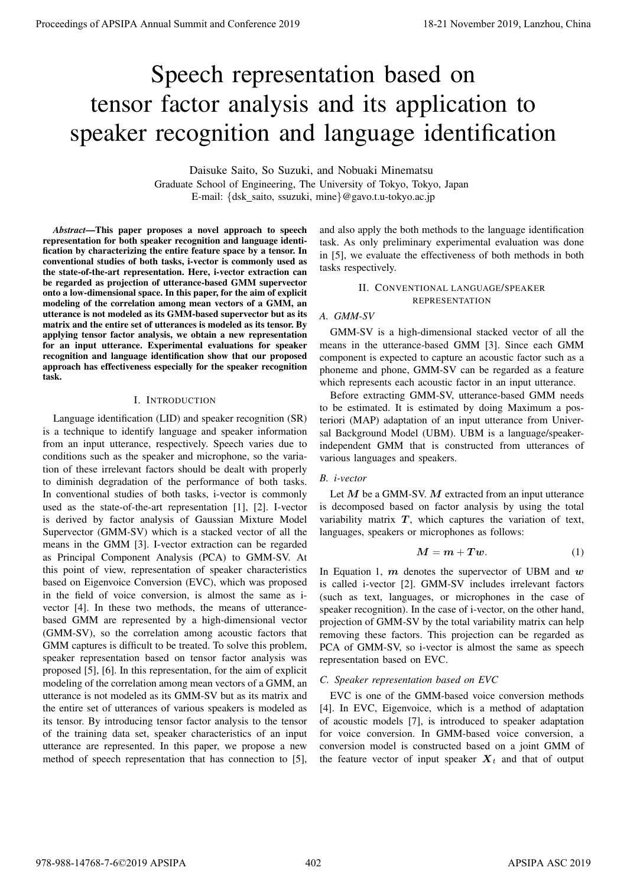# Speech representation based on tensor factor analysis and its application to speaker recognition and language identification

Daisuke Saito, So Suzuki, and Nobuaki Minematsu Graduate School of Engineering, The University of Tokyo, Tokyo, Japan E-mail: {dsk\_saito, ssuzuki, mine}@gavo.t.u-tokyo.ac.jp

*Abstract*—This paper proposes a novel approach to speech representation for both speaker recognition and language identification by characterizing the entire feature space by a tensor. In conventional studies of both tasks, i-vector is commonly used as the state-of-the-art representation. Here, i-vector extraction can be regarded as projection of utterance-based GMM supervector onto a low-dimensional space. In this paper, for the aim of explicit modeling of the correlation among mean vectors of a GMM, an utterance is not modeled as its GMM-based supervector but as its matrix and the entire set of utterances is modeled as its tensor. By applying tensor factor analysis, we obtain a new representation for an input utterance. Experimental evaluations for speaker recognition and language identification show that our proposed approach has effectiveness especially for the speaker recognition task.

#### I. INTRODUCTION

Language identification (LID) and speaker recognition (SR) is a technique to identify language and speaker information from an input utterance, respectively. Speech varies due to conditions such as the speaker and microphone, so the variation of these irrelevant factors should be dealt with properly to diminish degradation of the performance of both tasks. In conventional studies of both tasks, i-vector is commonly used as the state-of-the-art representation [1], [2]. I-vector is derived by factor analysis of Gaussian Mixture Model Supervector (GMM-SV) which is a stacked vector of all the means in the GMM [3]. I-vector extraction can be regarded as Principal Component Analysis (PCA) to GMM-SV. At this point of view, representation of speaker characteristics based on Eigenvoice Conversion (EVC), which was proposed in the field of voice conversion, is almost the same as ivector [4]. In these two methods, the means of utterancebased GMM are represented by a high-dimensional vector (GMM-SV), so the correlation among acoustic factors that GMM captures is difficult to be treated. To solve this problem, speaker representation based on tensor factor analysis was proposed [5], [6]. In this representation, for the aim of explicit modeling of the correlation among mean vectors of a GMM, an utterance is not modeled as its GMM-SV but as its matrix and the entire set of utterances of various speakers is modeled as its tensor. By introducing tensor factor analysis to the tensor of the training data set, speaker characteristics of an input utterance are represented. In this paper, we propose a new method of speech representation that has connection to [5], **Proceeding of APSIPA Annual Summit and Conference 2019**<br>
Specific recognition and alta application to<br>
Specific recognition and alta application to<br>
Data state who should alta application to<br>
these the properties of a st

and also apply the both methods to the language identification task. As only preliminary experimental evaluation was done in [5], we evaluate the effectiveness of both methods in both tasks respectively.

# II. CONVENTIONAL LANGUAGE/SPEAKER REPRESENTATION

## *A. GMM-SV*

GMM-SV is a high-dimensional stacked vector of all the means in the utterance-based GMM [3]. Since each GMM component is expected to capture an acoustic factor such as a phoneme and phone, GMM-SV can be regarded as a feature which represents each acoustic factor in an input utterance.

Before extracting GMM-SV, utterance-based GMM needs to be estimated. It is estimated by doing Maximum a posteriori (MAP) adaptation of an input utterance from Universal Background Model (UBM). UBM is a language/speakerindependent GMM that is constructed from utterances of various languages and speakers.

## *B. i-vector*

Let *M* be a GMM-SV. *M* extracted from an input utterance is decomposed based on factor analysis by using the total variability matrix  $T$ , which captures the variation of text, languages, speakers or microphones as follows:

$$
M = m + Tw.\tag{1}
$$

In Equation 1, *m* denotes the supervector of UBM and *w* is called i-vector [2]. GMM-SV includes irrelevant factors (such as text, languages, or microphones in the case of speaker recognition). In the case of i-vector, on the other hand, projection of GMM-SV by the total variability matrix can help removing these factors. This projection can be regarded as PCA of GMM-SV, so i-vector is almost the same as speech representation based on EVC.

## *C. Speaker representation based on EVC*

EVC is one of the GMM-based voice conversion methods [4]. In EVC, Eigenvoice, which is a method of adaptation of acoustic models [7], is introduced to speaker adaptation for voice conversion. In GMM-based voice conversion, a conversion model is constructed based on a joint GMM of the feature vector of input speaker  $X_t$  and that of output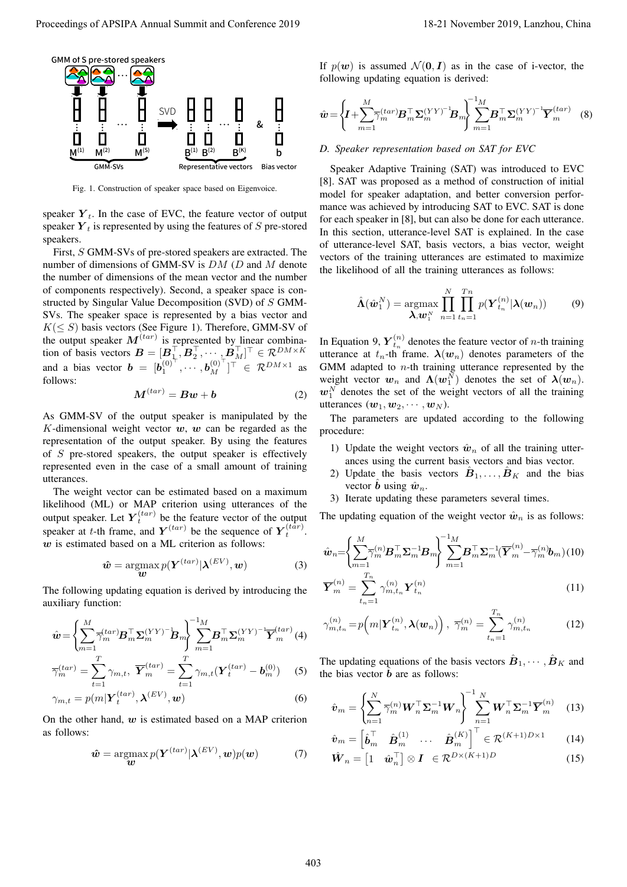

Fig. 1. Construction of speaker space based on Eigenvoice.

speaker  $Y_t$ . In the case of EVC, the feature vector of output speaker  $Y_t$  is represented by using the features of  $S$  pre-stored speakers.

First, *S* GMM-SVs of pre-stored speakers are extracted. The number of dimensions of GMM-SV is *DM* (*D* and *M* denote the number of dimensions of the mean vector and the number of components respectively). Second, a speaker space is constructed by Singular Value Decomposition (SVD) of *S* GMM-SVs. The speaker space is represented by a bias vector and  $K(\leq S)$  basis vectors (See Figure 1). Therefore, GMM-SV of the output speaker  $M^{(tar)}$  is represented by linear combination of basis vectors  $\mathbf{B} = [\mathbf{B}_1^\top, \mathbf{B}_2^\top, \cdots, \mathbf{B}_M^\top]^\top \in \mathcal{R}^{DM \times K}$ and a bias vector  $\mathbf{b} = [\mathbf{b}_1^{(0)}^{\top}, \cdots, \mathbf{b}_M^{(0)}^{\top}]^{\top} \in \mathcal{R}^{DM \times 1}$  as follows: Proceeding of APSIPA Annual Summit of Conference 2019<br>
Proceedings of APSIPA Annual Summit and Conference 2019<br>
Proceeding and Conference 2019 18-21 November 2019, Lanzhou, China 4030 18-21 November 2019, Lanzhou, China 4

$$
M^{(tar)} = Bw + b \tag{2}
$$

As GMM-SV of the output speaker is manipulated by the *K*-dimensional weight vector *w*, *w* can be regarded as the representation of the output speaker. By using the features of *S* pre-stored speakers, the output speaker is effectively represented even in the case of a small amount of training utterances.

The weight vector can be estimated based on a maximum likelihood (ML) or MAP criterion using utterances of the output speaker. Let  $Y_t^{(tar)}$  be the feature vector of the output speaker at *t*-th frame, and  $Y^{(tar)}$  be the sequence of  $Y_t^{(tar)}$ . *w* is estimated based on a ML criterion as follows:

$$
\hat{\boldsymbol{w}} = \operatorname*{argmax}_{\boldsymbol{w}} p(\boldsymbol{Y}^{(tar)} | \boldsymbol{\lambda}^{(EV)}, \boldsymbol{w})
$$
(3)

The following updating equation is derived by introducing the auxiliary function:

$$
\hat{\mathbf{w}} = \left\{ \sum_{m=1}^{M} \overline{\gamma}_m^{(tar)} \mathbf{B}_m^\top \mathbf{\Sigma}_m^{(YY)^{-1}} \mathbf{B}_m \right\} \sum_{m=1}^{-1} \mathbf{B}_m^\top \mathbf{\Sigma}_m^{(YY)^{-1}} \overline{\mathbf{Y}}_m^{(tar)} \tag{4}
$$
\n
$$
\overline{\gamma}_m^{(tar)} = \sum_{m=1}^{T} \gamma_{m,t}, \ \overline{\mathbf{Y}}_m^{(tar)} = \sum_{m=1}^{T} \gamma_{m,t} (\mathbf{Y}_t^{(tar)} - \mathbf{b}_m^{(0)}) \tag{5}
$$

$$
t=1 \t t=1 \t t=1
$$
  

$$
\gamma_{m,t} = p(m|\mathbf{Y}_t^{(tar)}, \boldsymbol{\lambda}^{(EV)}, \boldsymbol{w})
$$
 (6)

On the other hand, *w* is estimated based on a MAP criterion as follows:

$$
\hat{\boldsymbol{w}} = \operatorname*{argmax}_{\boldsymbol{w}} p(\boldsymbol{Y}^{(tar)} | \boldsymbol{\lambda}^{(EV)}, \boldsymbol{w}) p(\boldsymbol{w}) \tag{7}
$$

If  $p(w)$  is assumed  $\mathcal{N}(0, I)$  as in the case of i-vector, the following updating equation is derived:

$$
\hat{\boldsymbol{w}} = \left\{ \boldsymbol{I} + \sum_{m=1}^{M} \overline{\gamma}_m^{(tar)} \boldsymbol{B}_m^{\top} \boldsymbol{\Sigma}_m^{(YY)^{-1}} \boldsymbol{B}_m \right\} \sum_{m=1}^{M} \boldsymbol{B}_m^{\top} \boldsymbol{\Sigma}_m^{(YY)^{-1}} \overline{\boldsymbol{Y}}_m^{(tar)} \quad (8)
$$

## *D. Speaker representation based on SAT for EVC*

Speaker Adaptive Training (SAT) was introduced to EVC [8]. SAT was proposed as a method of construction of initial model for speaker adaptation, and better conversion performance was achieved by introducing SAT to EVC. SAT is done for each speaker in [8], but can also be done for each utterance. In this section, utterance-level SAT is explained. In the case of utterance-level SAT, basis vectors, a bias vector, weight vectors of the training utterances are estimated to maximize the likelihood of all the training utterances as follows:

$$
\hat{\mathbf{\Lambda}}(\hat{\boldsymbol{w}}_1^N) = \operatorname*{argmax}_{\mathbf{\lambda}, \mathbf{w}_1^N} \prod_{n=1}^N \prod_{t_n=1}^{T_n} p(\mathbf{Y}_{t_n}^{(n)}|\mathbf{\lambda}(\boldsymbol{w}_n))
$$
(9)

In Equation 9,  $Y_{t_n}^{(n)}$  denotes the feature vector of *n*-th training utterance at  $t_n$ -th frame.  $\lambda(w_n)$  denotes parameters of the GMM adapted to *n*-th training utterance represented by the weight vector  $w_n$  and  $\Lambda(w_1^N)$  denotes the set of  $\lambda(w_n)$ .  $w_1^N$  denotes the set of the weight vectors of all the training utterances  $(w_1, w_2, \dots, w_N)$ .

The parameters are updated according to the following procedure:

- 1) Update the weight vectors  $\hat{w}_n$  of all the training utterances using the current basis vectors and bias vector.
- 2) Update the basis vectors  $\hat{B}_1, \ldots, \hat{B}_K$  and the bias vector *b* using  $\hat{w}_n$ .
- 3) Iterate updating these parameters several times.

The updating equation of the weight vector  $\hat{w}_n$  is as follows:

$$
\hat{\boldsymbol{w}}_{n} = \left\{ \sum_{m=1}^{M} \overline{\gamma}_{m}^{(n)} \boldsymbol{B}_{m}^{\top} \boldsymbol{\Sigma}_{m}^{-1} \boldsymbol{B}_{m} \right\} \sum_{m=1}^{1} \boldsymbol{B}_{m}^{\top} \boldsymbol{\Sigma}_{m}^{-1} (\overline{\boldsymbol{Y}}_{m}^{(n)} - \overline{\gamma}_{m}^{(n)} \boldsymbol{b}_{m})
$$
(10)

$$
\overline{Y}_{m}^{(n)} = \sum_{t_{n}=1}^{T_{n}} \gamma_{m,t_{n}}^{(n)} Y_{t_{n}}^{(n)}
$$
(11)

$$
\gamma_{m,t_n}^{(n)} = p\Big(m|\boldsymbol{Y}_{t_n}^{(n)}, \boldsymbol{\lambda}(\boldsymbol{w}_n)\Big), \ \ \overline{\gamma}_m^{(n)} = \sum_{t_n=1}^{T_n} \gamma_{m,t_n}^{(n)} \tag{12}
$$

The updating equations of the basis vectors  $\hat{\boldsymbol{B}}_1, \dots, \hat{\boldsymbol{B}}_K$  and the bias vector  $\hat{b}$  are as follows:

$$
\hat{\boldsymbol{v}}_m = \left\{ \sum_{n=1}^N \overline{\gamma}_m^{(n)} \boldsymbol{W}_n^\top \boldsymbol{\Sigma}_m^{-1} \boldsymbol{W}_n \right\} \sum_{n=1}^{N} \boldsymbol{W}_n^\top \boldsymbol{\Sigma}_m^{-1} \overline{\boldsymbol{Y}}_m^{(n)} \quad (13)
$$

$$
\hat{\boldsymbol{v}}_{m} = \begin{bmatrix} \hat{\boldsymbol{b}}_{m}^{\top} & \hat{\boldsymbol{B}}_{m}^{(1)} & \cdots & \hat{\boldsymbol{B}}_{m}^{(K)} \end{bmatrix}^{\top} \in \mathcal{R}^{(K+1)D \times 1}
$$
(14)

$$
\hat{\boldsymbol{W}}_n = \begin{bmatrix} 1 & \hat{\boldsymbol{w}}_n^\top \end{bmatrix} \otimes \boldsymbol{I} \in \mathcal{R}^{D \times (K+1)D} \tag{15}
$$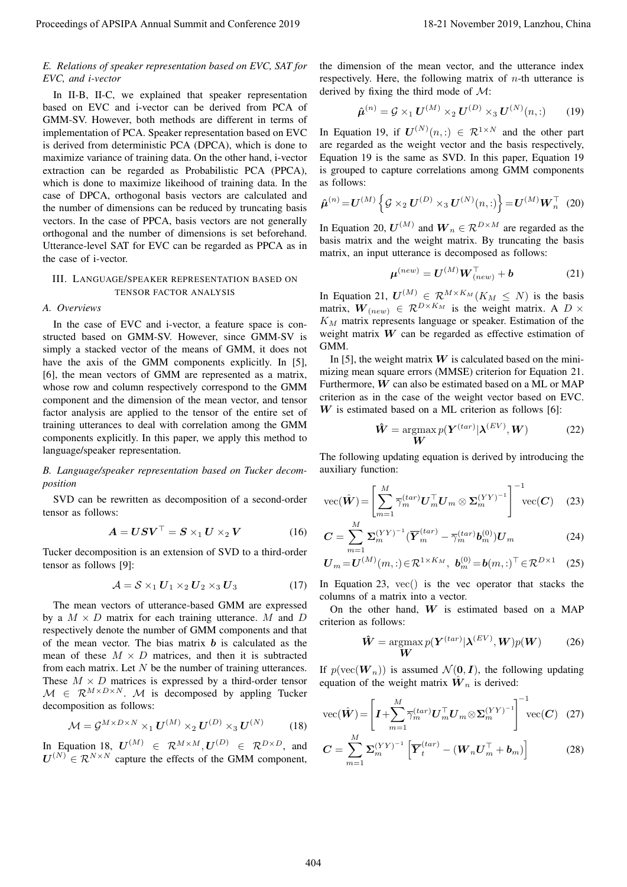# *E. Relations of speaker representation based on EVC, SAT for EVC, and i-vector*

In II-B, II-C, we explained that speaker representation based on EVC and i-vector can be derived from PCA of GMM-SV. However, both methods are different in terms of implementation of PCA. Speaker representation based on EVC is derived from deterministic PCA (DPCA), which is done to maximize variance of training data. On the other hand, i-vector extraction can be regarded as Probabilistic PCA (PPCA), which is done to maximize likeihood of training data. In the case of DPCA, orthogonal basis vectors are calculated and the number of dimensions can be reduced by truncating basis vectors. In the case of PPCA, basis vectors are not generally orthogonal and the number of dimensions is set beforehand. Utterance-level SAT for EVC can be regarded as PPCA as in the case of i-vector. Proceedings of APSIPA Annual Summit and Conference 2019 18-21 November 2019, Lanzhou, China 404

# III. LANGUAGE/SPEAKER REPRESENTATION BASED ON TENSOR FACTOR ANALYSIS

## *A. Overviews*

In the case of EVC and i-vector, a feature space is constructed based on GMM-SV. However, since GMM-SV is simply a stacked vector of the means of GMM, it does not have the axis of the GMM components explicitly. In [5], [6], the mean vectors of GMM are represented as a matrix, whose row and column respectively correspond to the GMM component and the dimension of the mean vector, and tensor factor analysis are applied to the tensor of the entire set of training utterances to deal with correlation among the GMM components explicitly. In this paper, we apply this method to language/speaker representation.

# *B. Language/speaker representation based on Tucker decomposition*

SVD can be rewritten as decomposition of a second-order tensor as follows:

$$
A = USV^{\top} = S \times_1 U \times_2 V \tag{16}
$$

Tucker decomposition is an extension of SVD to a third-order tensor as follows [9]:

$$
\mathcal{A} = \mathcal{S} \times_1 \mathbf{U}_1 \times_2 \mathbf{U}_2 \times_3 \mathbf{U}_3 \tag{17}
$$

The mean vectors of utterance-based GMM are expressed by a  $M \times D$  matrix for each training utterance. M and D respectively denote the number of GMM components and that of the mean vector. The bias matrix *b* is calculated as the mean of these  $M \times D$  matrices, and then it is subtracted from each matrix. Let *N* be the number of training utterances. These  $M \times D$  matrices is expressed by a third-order tensor  $M \in \mathbb{R}^{M \times D \times N}$ . *M* is decomposed by appling Tucker decomposition as follows:

$$
\mathcal{M} = \mathcal{G}^{M \times D \times N} \times_1 \mathbf{U}^{(M)} \times_2 \mathbf{U}^{(D)} \times_3 \mathbf{U}^{(N)} \tag{18}
$$

In Equation 18,  $U^{(M)} \in \mathbb{R}^{M \times M}, U^{(D)} \in \mathbb{R}^{D \times D}$ , and  $U^{(N)} \in \mathcal{R}^{N \times N}$  capture the effects of the GMM component, the dimension of the mean vector, and the utterance index respectively. Here, the following matrix of *n*-th utterance is derived by fixing the third mode of *M*:

$$
\hat{\boldsymbol{\mu}}^{(n)} = \mathcal{G} \times_1 \boldsymbol{U}^{(M)} \times_2 \boldsymbol{U}^{(D)} \times_3 \boldsymbol{U}^{(N)}(n,:)
$$
 (19)

In Equation 19, if  $U^{(N)}(n,.) \in \mathbb{R}^{1 \times N}$  and the other part are regarded as the weight vector and the basis respectively, Equation 19 is the same as SVD. In this paper, Equation 19 is grouped to capture correlations among GMM components as follows:

$$
\hat{\boldsymbol{\mu}}^{(n)} = \boldsymbol{U}^{(M)} \left\{ \mathcal{G} \times_2 \boldsymbol{U}^{(D)} \times_3 \boldsymbol{U}^{(N)}(n,:) \right\} = \boldsymbol{U}^{(M)} \boldsymbol{W}_n^{\top} \tag{20}
$$

In Equation 20,  $U^{(M)}$  and  $W_n \in \mathcal{R}^{D \times M}$  are regarded as the basis matrix and the weight matrix. By truncating the basis matrix, an input utterance is decomposed as follows:

$$
\boldsymbol{\mu}^{(new)} = \boldsymbol{U}^{(M)} \boldsymbol{W}_{(new)}^{\top} + \boldsymbol{b}
$$
 (21)

In Equation 21,  $U^{(M)} \in \mathcal{R}^{M \times K_M}(K_M \leq N)$  is the basis matrix,  $W_{(new)} \in \mathcal{R}^{D \times K_M}$  is the weight matrix. A  $D \times$ *K<sup>M</sup>* matrix represents language or speaker. Estimation of the weight matrix *W* can be regarded as effective estimation of GMM.

In [5], the weight matrix  $W$  is calculated based on the minimizing mean square errors (MMSE) criterion for Equation 21. Furthermore, *W* can also be estimated based on a ML or MAP criterion as in the case of the weight vector based on EVC. *W* is estimated based on a ML criterion as follows [6]:

$$
\hat{\mathbf{W}} = \operatorname*{argmax}_{\mathbf{W}} p(\mathbf{Y}^{(tar)} | \boldsymbol{\lambda}^{(EV)}, \mathbf{W})
$$
\n(22)

The following updating equation is derived by introducing the auxiliary function:

$$
\text{vec}(\hat{\boldsymbol{W}}) = \left[\sum_{m=1}^{M} \overline{\gamma}_m^{(tar)} \boldsymbol{U}_m^{\top} \boldsymbol{U}_m \otimes \boldsymbol{\Sigma}_m^{(YY)^{-1}}\right]^{-1} \text{vec}(\boldsymbol{C}) \quad (23)
$$

$$
\boldsymbol{C} = \sum_{m=1}^{M} \boldsymbol{\Sigma}_{m}^{(YY)^{-1}} (\overline{\boldsymbol{Y}}_{m}^{(tar)} - \overline{\gamma}_{m}^{(tar)} \boldsymbol{b}_{m}^{(0)}) \boldsymbol{U}_{m}
$$
(24)

$$
\boldsymbol{U}_{m} = \boldsymbol{U}^{(M)}(m, :) \in \mathcal{R}^{1 \times K_M}, \ \boldsymbol{b}_{m}^{(0)} = \boldsymbol{b}(m, :)^{\top} \in \mathcal{R}^{D \times 1} \tag{25}
$$

In Equation 23, vec() is the vec operator that stacks the columns of a matrix into a vector.

On the other hand, *W* is estimated based on a MAP criterion as follows:

$$
\hat{\mathbf{W}} = \underset{\mathbf{W}}{\operatorname{argmax}} p(\mathbf{Y}^{(tar)} | \boldsymbol{\lambda}^{(EV)}, \mathbf{W}) p(\mathbf{W}) \qquad (26)
$$

If  $p(\text{vec}(\boldsymbol{W}_n))$  is assumed  $\mathcal{N}(\boldsymbol{0}, \boldsymbol{I})$ , the following updating equation of the weight matrix  $\hat{W}_n$  is derived:

$$
\text{vec}(\hat{\boldsymbol{W}}) = \left[ \boldsymbol{I} + \sum_{m=1}^{M} \overline{\gamma}_m^{(tar)} \boldsymbol{U}_m^{\top} \boldsymbol{U}_m \otimes \boldsymbol{\Sigma}_m^{(YY)^{-1}} \right]^{-1} \text{vec}(\boldsymbol{C}) \quad (27)
$$

$$
\boldsymbol{C} = \sum_{m=1}^{M} \boldsymbol{\Sigma}_{m}^{(YY)^{-1}} \left[ \overline{\boldsymbol{Y}}_{t}^{(tar)} - (\boldsymbol{W}_{n} \boldsymbol{U}_{m}^{\top} + \boldsymbol{b}_{m}) \right]
$$
(28)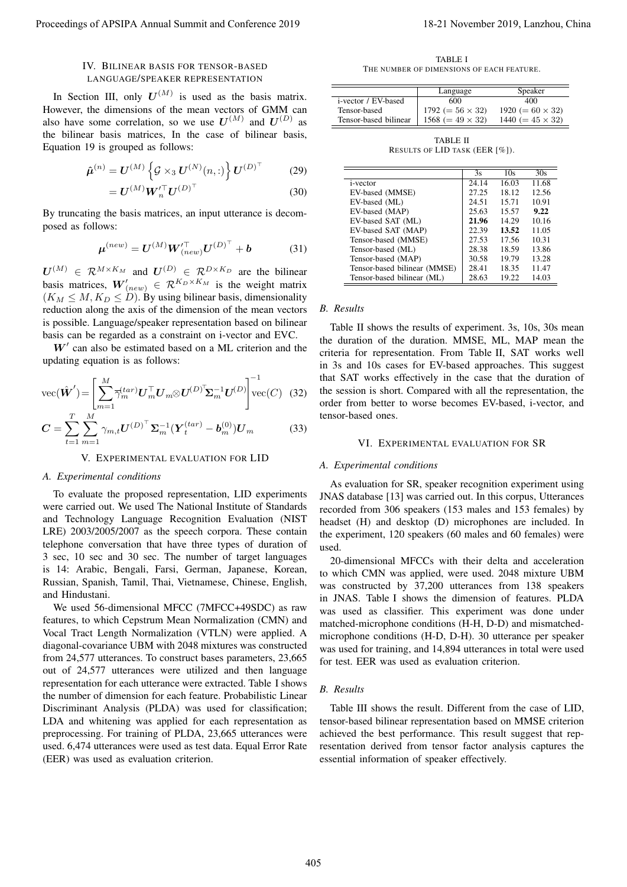# IV. BILINEAR BASIS FOR TENSOR-BASED LANGUAGE/SPEAKER REPRESENTATION

In Section III, only  $U^{(M)}$  is used as the basis matrix. However, the dimensions of the mean vectors of GMM can also have some correlation, so we use  $U^{(M)}$  and  $U^{(D)}$  as the bilinear basis matrices, In the case of bilinear basis, Equation 19 is grouped as follows:

$$
\hat{\boldsymbol{\mu}}^{(n)} = \boldsymbol{U}^{(M)} \left\{ \mathcal{G} \times_3 \boldsymbol{U}^{(N)}(n,:) \right\} \boldsymbol{U}^{(D)^{\top}} \tag{29}
$$

$$
= \boldsymbol{U}^{(M)} \boldsymbol{W}_n^{\prime \top} \boldsymbol{U}^{(D)^\top} \tag{30}
$$

By truncating the basis matrices, an input utterance is decomposed as follows:

$$
\mu^{(new)} = U^{(M)} W^{T}_{(new)} U^{(D)^{T}} + b \qquad (31)
$$

 $U^{(M)} \in \mathcal{R}^{M \times K_M}$  and  $U^{(D)} \in \mathcal{R}^{D \times K_D}$  are the bilinear basis matrices,  $W'_{(new)} \in \mathcal{R}^{K_D \times K_M}$  is the weight matrix  $(K_M \leq M, K_D \leq D)$ . By using bilinear basis, dimensionality reduction along the axis of the dimension of the mean vectors is possible. Language/speaker representation based on bilinear basis can be regarded as a constraint on i-vector and EVC.

*W′* can also be estimated based on a ML criterion and the updating equation is as follows:

$$
\text{vec}(\hat{\boldsymbol{W}}') = \left[\sum_{m=1}^{M} \overline{\gamma}_m^{tar} \boldsymbol{U}_m^{\top} \boldsymbol{U}_m \otimes \boldsymbol{U}^{(D)^{\top}} \boldsymbol{\Sigma}_m^{-1} \boldsymbol{U}^{(D)}\right]^{-1} \text{vec}(C) \quad (32)
$$

$$
C = \sum_{t=1}^{T} \sum_{m=1}^{M} \gamma_{m,t} U^{(D)^{\top}} \Sigma_m^{-1} (\boldsymbol{Y}_t^{(tar)} - \boldsymbol{b}_m^{(0)}) U_m \tag{33}
$$

#### V. EXPERIMENTAL EVALUATION FOR LID

#### *A. Experimental conditions*

To evaluate the proposed representation, LID experiments were carried out. We used The National Institute of Standards and Technology Language Recognition Evaluation (NIST LRE) 2003/2005/2007 as the speech corpora. These contain telephone conversation that have three types of duration of 3 sec, 10 sec and 30 sec. The number of target languages is 14: Arabic, Bengali, Farsi, German, Japanese, Korean, Russian, Spanish, Tamil, Thai, Vietnamese, Chinese, English, and Hindustani.

We used 56-dimensional MFCC (7MFCC+49SDC) as raw features, to which Cepstrum Mean Normalization (CMN) and Vocal Tract Length Normalization (VTLN) were applied. A diagonal-covariance UBM with 2048 mixtures was constructed from 24,577 utterances. To construct bases parameters, 23,665 out of 24,577 utterances were utilized and then language representation for each utterance were extracted. Table I shows the number of dimension for each feature. Probabilistic Linear Discriminant Analysis (PLDA) was used for classification; LDA and whitening was applied for each representation as preprocessing. For training of PLDA, 23,665 utterances were used. 6,474 utterances were used as test data. Equal Error Rate (EER) was used as evaluation criterion. Proceeding of APSIPA Annual Summit and Conference 2019<br>
TV Traitistics and the proceedings of APSIPA Annual Summit and Conference 2019, Lanzhou, China 405-21 November 2019, Lanzhou, China 405-21 November 2019, Lanzhou, Ch

TABLE I THE NUMBER OF DIMENSIONS OF EACH FEATURE.

|                       | Speaker<br>Language     |                         |
|-----------------------|-------------------------|-------------------------|
| i-vector / EV-based   | 600                     | 400                     |
| Tensor-based          | $1792 (= 56 \times 32)$ | $1920 (= 60 \times 32)$ |
| Tensor-based bilinear | $1568 (= 49 \times 32)$ | $1440 (= 45 \times 32)$ |

TABLE II RESULTS OF LID TASK (EER [%]).

|                              | 3s    | 10s   | 30s   |
|------------------------------|-------|-------|-------|
| <i>i</i> -vector             | 24.14 | 16.03 | 11.68 |
| EV-based (MMSE)              | 27.25 | 18.12 | 12.56 |
| EV-based (ML)                | 24.51 | 15.71 | 10.91 |
| EV-based (MAP)               | 25.63 | 15.57 | 9.22  |
| EV-based SAT (ML)            | 21.96 | 14.29 | 10.16 |
| EV-based SAT (MAP)           | 22.39 | 13.52 | 11.05 |
| Tensor-based (MMSE)          | 27.53 | 17.56 | 10.31 |
| Tensor-based (ML)            | 28.38 | 18.59 | 13.86 |
| Tensor-based (MAP)           | 30.58 | 19.79 | 13.28 |
| Tensor-based bilinear (MMSE) | 28.41 | 18.35 | 11.47 |
| Tensor-based bilinear (ML)   | 28.63 | 19.22 | 14.03 |

# *B. Results*

Table II shows the results of experiment. 3s, 10s, 30s mean the duration of the duration. MMSE, ML, MAP mean the criteria for representation. From Table II, SAT works well in 3s and 10s cases for EV-based approaches. This suggest that SAT works effectively in the case that the duration of the session is short. Compared with all the representation, the order from better to worse becomes EV-based, i-vector, and tensor-based ones.

#### VI. EXPERIMENTAL EVALUATION FOR SR

#### *A. Experimental conditions*

As evaluation for SR, speaker recognition experiment using JNAS database [13] was carried out. In this corpus, Utterances recorded from 306 speakers (153 males and 153 females) by headset (H) and desktop (D) microphones are included. In the experiment, 120 speakers (60 males and 60 females) were used.

20-dimensional MFCCs with their delta and acceleration to which CMN was applied, were used. 2048 mixture UBM was constructed by 37,200 utterances from 138 speakers in JNAS. Table I shows the dimension of features. PLDA was used as classifier. This experiment was done under matched-microphone conditions (H-H, D-D) and mismatchedmicrophone conditions (H-D, D-H). 30 utterance per speaker was used for training, and 14,894 utterances in total were used for test. EER was used as evaluation criterion.

#### *B. Results*

Table III shows the result. Different from the case of LID, tensor-based bilinear representation based on MMSE criterion achieved the best performance. This result suggest that representation derived from tensor factor analysis captures the essential information of speaker effectively.